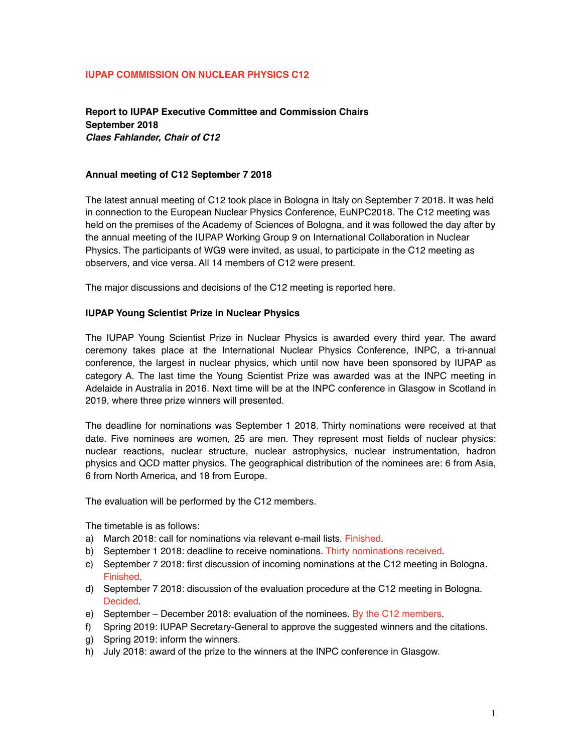#### **IUPAP COMMISSION ON NUCLEAR PHYSICS C12**

**Report to IUPAP Executive Committee and Commission Chairs September 2018**  *Claes Fahlander, Chair of C12*

#### **Annual meeting of C12 September 7 2018**

The latest annual meeting of C12 took place in Bologna in Italy on September 7 2018. It was held in connection to the European Nuclear Physics Conference, EuNPC2018. The C12 meeting was held on the premises of the Academy of Sciences of Bologna, and it was followed the day after by the annual meeting of the IUPAP Working Group 9 on International Collaboration in Nuclear Physics. The participants of WG9 were invited, as usual, to participate in the C12 meeting as observers, and vice versa. All 14 members of C12 were present.

The major discussions and decisions of the C12 meeting is reported here.

### **IUPAP Young Scientist Prize in Nuclear Physics**

The IUPAP Young Scientist Prize in Nuclear Physics is awarded every third year. The award ceremony takes place at the International Nuclear Physics Conference, INPC, a tri-annual conference, the largest in nuclear physics, which until now have been sponsored by IUPAP as category A. The last time the Young Scientist Prize was awarded was at the INPC meeting in Adelaide in Australia in 2016. Next time will be at the INPC conference in Glasgow in Scotland in 2019, where three prize winners will presented.

The deadline for nominations was September 1 2018. Thirty nominations were received at that date. Five nominees are women, 25 are men. They represent most fields of nuclear physics: nuclear reactions, nuclear structure, nuclear astrophysics, nuclear instrumentation, hadron physics and QCD matter physics. The geographical distribution of the nominees are: 6 from Asia, 6 from North America, and 18 from Europe.

The evaluation will be performed by the C12 members.

The timetable is as follows:

- a) March 2018: call for nominations via relevant e-mail lists. Finished.
- b) September 1 2018: deadline to receive nominations. Thirty nominations received.
- c) September 7 2018: first discussion of incoming nominations at the C12 meeting in Bologna. Finished.
- d) September 7 2018: discussion of the evaluation procedure at the C12 meeting in Bologna. Decided.
- e) September December 2018: evaluation of the nominees. By the C12 members.
- f) Spring 2019: IUPAP Secretary-General to approve the suggested winners and the citations.
- g) Spring 2019: inform the winners.
- h) July 2018: award of the prize to the winners at the INPC conference in Glasgow.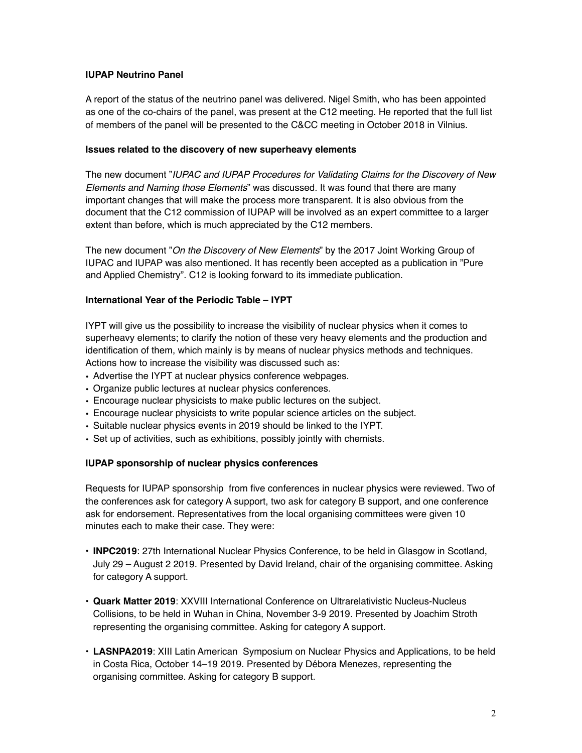### **IUPAP Neutrino Panel**

A report of the status of the neutrino panel was delivered. Nigel Smith, who has been appointed as one of the co-chairs of the panel, was present at the C12 meeting. He reported that the full list of members of the panel will be presented to the C&CC meeting in October 2018 in Vilnius.

### **Issues related to the discovery of new superheavy elements**

The new document "*IUPAC and IUPAP Procedures for Validating Claims for the Discovery of New Elements and Naming those Elements*" was discussed. It was found that there are many important changes that will make the process more transparent. It is also obvious from the document that the C12 commission of IUPAP will be involved as an expert committee to a larger extent than before, which is much appreciated by the C12 members.

The new document "*On the Discovery of New Elements*" by the 2017 Joint Working Group of IUPAC and IUPAP was also mentioned. It has recently been accepted as a publication in "Pure and Applied Chemistry". C12 is looking forward to its immediate publication.

### **International Year of the Periodic Table – IYPT**

IYPT will give us the possibility to increase the visibility of nuclear physics when it comes to superheavy elements; to clarify the notion of these very heavy elements and the production and identification of them, which mainly is by means of nuclear physics methods and techniques. Actions how to increase the visibility was discussed such as:

- Advertise the IYPT at nuclear physics conference webpages.
- Organize public lectures at nuclear physics conferences.
- Encourage nuclear physicists to make public lectures on the subject.
- Encourage nuclear physicists to write popular science articles on the subject.
- Suitable nuclear physics events in 2019 should be linked to the IYPT.
- Set up of activities, such as exhibitions, possibly jointly with chemists.

## **IUPAP sponsorship of nuclear physics conferences**

Requests for IUPAP sponsorship from five conferences in nuclear physics were reviewed. Two of the conferences ask for category A support, two ask for category B support, and one conference ask for endorsement. Representatives from the local organising committees were given 10 minutes each to make their case. They were:

- **INPC2019**: 27th International Nuclear Physics Conference, to be held in Glasgow in Scotland, July 29 – August 2 2019. Presented by David Ireland, chair of the organising committee. Asking for category A support.
- **Quark Matter 2019**: XXVIII International Conference on Ultrarelativistic Nucleus-Nucleus Collisions, to be held in Wuhan in China, November 3-9 2019. Presented by Joachim Stroth representing the organising committee. Asking for category A support.
- **LASNPA2019**: XIII Latin American Symposium on Nuclear Physics and Applications, to be held in Costa Rica, October 14–19 2019. Presented by Débora Menezes, representing the organising committee. Asking for category B support.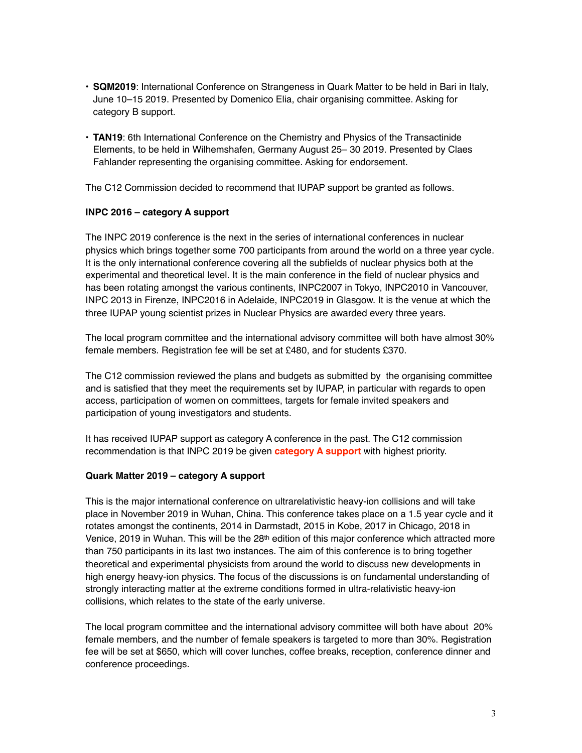- **SQM2019**: International Conference on Strangeness in Quark Matter to be held in Bari in Italy, June 10–15 2019. Presented by Domenico Elia, chair organising committee. Asking for category B support.
- **TAN19**: 6th International Conference on the Chemistry and Physics of the Transactinide Elements, to be held in Wilhemshafen, Germany August 25– 30 2019. Presented by Claes Fahlander representing the organising committee. Asking for endorsement.

The C12 Commission decided to recommend that IUPAP support be granted as follows.

## **INPC 2016 – category A support**

The INPC 2019 conference is the next in the series of international conferences in nuclear physics which brings together some 700 participants from around the world on a three year cycle. It is the only international conference covering all the subfields of nuclear physics both at the experimental and theoretical level. It is the main conference in the field of nuclear physics and has been rotating amongst the various continents, INPC2007 in Tokyo, INPC2010 in Vancouver, INPC 2013 in Firenze, INPC2016 in Adelaide, INPC2019 in Glasgow. It is the venue at which the three IUPAP young scientist prizes in Nuclear Physics are awarded every three years.

The local program committee and the international advisory committee will both have almost 30% female members. Registration fee will be set at £480, and for students £370.

The C12 commission reviewed the plans and budgets as submitted by the organising committee and is satisfied that they meet the requirements set by IUPAP, in particular with regards to open access, participation of women on committees, targets for female invited speakers and participation of young investigators and students.

It has received IUPAP support as category A conference in the past. The C12 commission recommendation is that INPC 2019 be given **category A support** with highest priority.

## **Quark Matter 2019 – category A support**

This is the major international conference on ultrarelativistic heavy-ion collisions and will take place in November 2019 in Wuhan, China. This conference takes place on a 1.5 year cycle and it rotates amongst the continents, 2014 in Darmstadt, 2015 in Kobe, 2017 in Chicago, 2018 in Venice, 2019 in Wuhan. This will be the 28<sup>th</sup> edition of this major conference which attracted more than 750 participants in its last two instances. The aim of this conference is to bring together theoretical and experimental physicists from around the world to discuss new developments in high energy heavy-ion physics. The focus of the discussions is on fundamental understanding of strongly interacting matter at the extreme conditions formed in ultra-relativistic heavy-ion collisions, which relates to the state of the early universe.

The local program committee and the international advisory committee will both have about 20% female members, and the number of female speakers is targeted to more than 30%. Registration fee will be set at \$650, which will cover lunches, coffee breaks, reception, conference dinner and conference proceedings.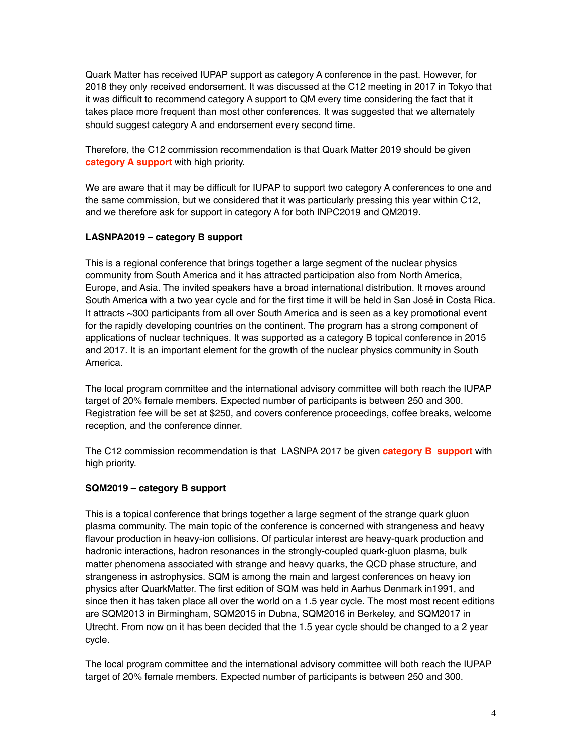Quark Matter has received IUPAP support as category A conference in the past. However, for 2018 they only received endorsement. It was discussed at the C12 meeting in 2017 in Tokyo that it was difficult to recommend category A support to QM every time considering the fact that it takes place more frequent than most other conferences. It was suggested that we alternately should suggest category A and endorsement every second time.

Therefore, the C12 commission recommendation is that Quark Matter 2019 should be given **category A support** with high priority.

We are aware that it may be difficult for IUPAP to support two category A conferences to one and the same commission, but we considered that it was particularly pressing this year within C12, and we therefore ask for support in category A for both INPC2019 and QM2019.

## **LASNPA2019 – category B support**

This is a regional conference that brings together a large segment of the nuclear physics community from South America and it has attracted participation also from North America, Europe, and Asia. The invited speakers have a broad international distribution. It moves around South America with a two year cycle and for the first time it will be held in San José in Costa Rica. It attracts ~300 participants from all over South America and is seen as a key promotional event for the rapidly developing countries on the continent. The program has a strong component of applications of nuclear techniques. It was supported as a category B topical conference in 2015 and 2017. It is an important element for the growth of the nuclear physics community in South America.

The local program committee and the international advisory committee will both reach the IUPAP target of 20% female members. Expected number of participants is between 250 and 300. Registration fee will be set at \$250, and covers conference proceedings, coffee breaks, welcome reception, and the conference dinner.

The C12 commission recommendation is that LASNPA 2017 be given **category B support** with high priority.

## **SQM2019 – category B support**

This is a topical conference that brings together a large segment of the strange quark gluon plasma community. The main topic of the conference is concerned with strangeness and heavy flavour production in heavy-ion collisions. Of particular interest are heavy-quark production and hadronic interactions, hadron resonances in the strongly-coupled quark-gluon plasma, bulk matter phenomena associated with strange and heavy quarks, the QCD phase structure, and strangeness in astrophysics. SQM is among the main and largest conferences on heavy ion physics after QuarkMatter. The first edition of SQM was held in Aarhus Denmark in1991, and since then it has taken place all over the world on a 1.5 year cycle. The most most recent editions are SQM2013 in Birmingham, SQM2015 in Dubna, SQM2016 in Berkeley, and SQM2017 in Utrecht. From now on it has been decided that the 1.5 year cycle should be changed to a 2 year cycle.

The local program committee and the international advisory committee will both reach the IUPAP target of 20% female members. Expected number of participants is between 250 and 300.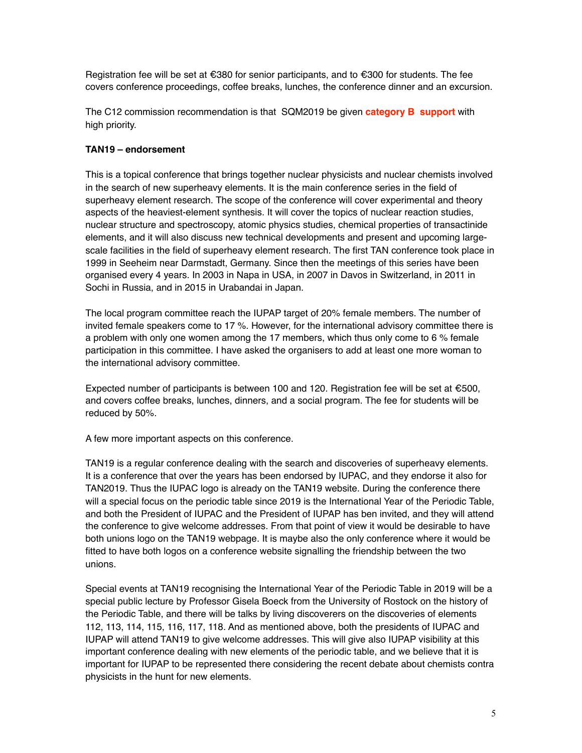Registration fee will be set at €380 for senior participants, and to €300 for students. The fee covers conference proceedings, coffee breaks, lunches, the conference dinner and an excursion.

The C12 commission recommendation is that SQM2019 be given **category B support** with high priority.

# **TAN19 – endorsement**

This is a topical conference that brings together nuclear physicists and nuclear chemists involved in the search of new superheavy elements. It is the main conference series in the field of superheavy element research. The scope of the conference will cover experimental and theory aspects of the heaviest-element synthesis. It will cover the topics of nuclear reaction studies, nuclear structure and spectroscopy, atomic physics studies, chemical properties of transactinide elements, and it will also discuss new technical developments and present and upcoming largescale facilities in the field of superheavy element research. The first TAN conference took place in 1999 in Seeheim near Darmstadt, Germany. Since then the meetings of this series have been organised every 4 years. In 2003 in Napa in USA, in 2007 in Davos in Switzerland, in 2011 in Sochi in Russia, and in 2015 in Urabandai in Japan.

The local program committee reach the IUPAP target of 20% female members. The number of invited female speakers come to 17 %. However, for the international advisory committee there is a problem with only one women among the 17 members, which thus only come to 6 % female participation in this committee. I have asked the organisers to add at least one more woman to the international advisory committee.

Expected number of participants is between 100 and 120. Registration fee will be set at €500, and covers coffee breaks, lunches, dinners, and a social program. The fee for students will be reduced by 50%.

A few more important aspects on this conference.

TAN19 is a regular conference dealing with the search and discoveries of superheavy elements. It is a conference that over the years has been endorsed by IUPAC, and they endorse it also for TAN2019. Thus the IUPAC logo is already on the TAN19 website. During the conference there will a special focus on the periodic table since 2019 is the International Year of the Periodic Table, and both the President of IUPAC and the President of IUPAP has ben invited, and they will attend the conference to give welcome addresses. From that point of view it would be desirable to have both unions logo on the TAN19 webpage. It is maybe also the only conference where it would be fitted to have both logos on a conference website signalling the friendship between the two unions.

Special events at TAN19 recognising the International Year of the Periodic Table in 2019 will be a special public lecture by Professor Gisela Boeck from the University of Rostock on the history of the Periodic Table, and there will be talks by living discoverers on the discoveries of elements 112, 113, 114, 115, 116, 117, 118. And as mentioned above, both the presidents of IUPAC and IUPAP will attend TAN19 to give welcome addresses. This will give also IUPAP visibility at this important conference dealing with new elements of the periodic table, and we believe that it is important for IUPAP to be represented there considering the recent debate about chemists contra physicists in the hunt for new elements.